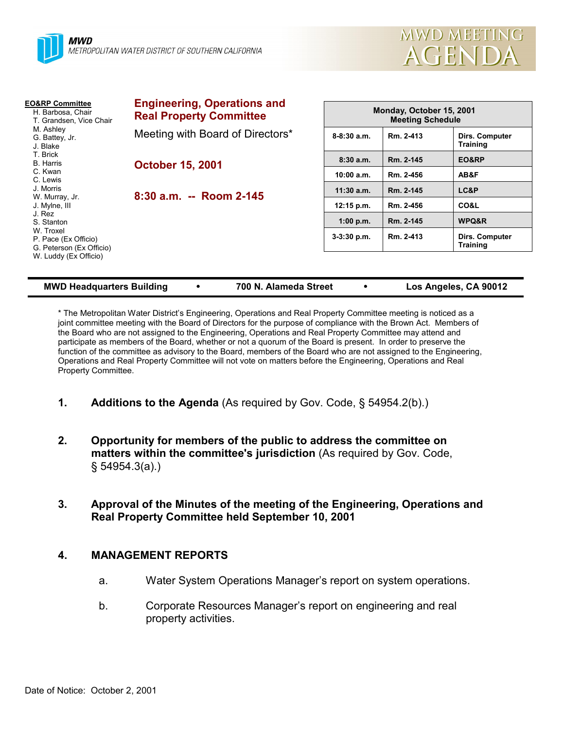



| <b>EO&amp;RP Committee</b><br>H. Barbosa, Chair<br>T. Grandsen. Vice Chair<br>M. Ashley<br>G. Battey, Jr.<br>J. Blake | <b>Engineering, Operations and</b><br><b>Real Property Committee</b> | Monday, October 15, 2001<br><b>Meeting Schedule</b> |           |                                   |
|-----------------------------------------------------------------------------------------------------------------------|----------------------------------------------------------------------|-----------------------------------------------------|-----------|-----------------------------------|
|                                                                                                                       | Meeting with Board of Directors*                                     | $8 - 8:30$ a.m.                                     | Rm. 2-413 | Dirs. Computer<br><b>Training</b> |
| T. Brick<br><b>B.</b> Harris                                                                                          | <b>October 15, 2001</b><br>8:30 a.m. -- Room 2-145                   | 8:30a.m.                                            | Rm. 2-145 | EO&RP                             |
| C. Kwan<br>C. Lewis                                                                                                   |                                                                      | 10:00 a.m.                                          | Rm. 2-456 | AB&F                              |
| J. Morris<br>W. Murray, Jr.                                                                                           |                                                                      | $11:30$ a.m.                                        | Rm. 2-145 | LC&P                              |
| J. Mylne, III                                                                                                         |                                                                      | $12:15$ p.m.                                        | Rm. 2-456 | CO&L                              |
| J. Rez<br>S. Stanton                                                                                                  |                                                                      | 1:00 p.m.                                           | Rm. 2-145 | WPQ&R                             |
| W. Troxel<br>P. Pace (Ex Officio)<br>G. Peterson (Ex Officio)                                                         |                                                                      | $3-3:30$ p.m.                                       | Rm. 2-413 | Dirs. Computer<br><b>Training</b> |
| W. Luddy (Ex Officio)                                                                                                 |                                                                      |                                                     |           |                                   |

#### **MWD Headquarters Building** ! **700 N. Alameda Street** ! **Los Angeles, CA 90012**

\* The Metropolitan Water Districtís Engineering, Operations and Real Property Committee meeting is noticed as a joint committee meeting with the Board of Directors for the purpose of compliance with the Brown Act. Members of the Board who are not assigned to the Engineering, Operations and Real Property Committee may attend and participate as members of the Board, whether or not a quorum of the Board is present. In order to preserve the function of the committee as advisory to the Board, members of the Board who are not assigned to the Engineering, Operations and Real Property Committee will not vote on matters before the Engineering, Operations and Real Property Committee.

- **1.** Additions to the Agenda (As required by Gov. Code, § 54954.2(b).)
- **2. Opportunity for members of the public to address the committee on matters within the committee's jurisdiction** (As required by Gov. Code, ß 54954.3(a).)
- **3. Approval of the Minutes of the meeting of the Engineering, Operations and Real Property Committee held September 10, 2001**

#### **4. MANAGEMENT REPORTS**

- a. Water System Operations Managerís report on system operations.
- b. Corporate Resources Manager's report on engineering and real property activities.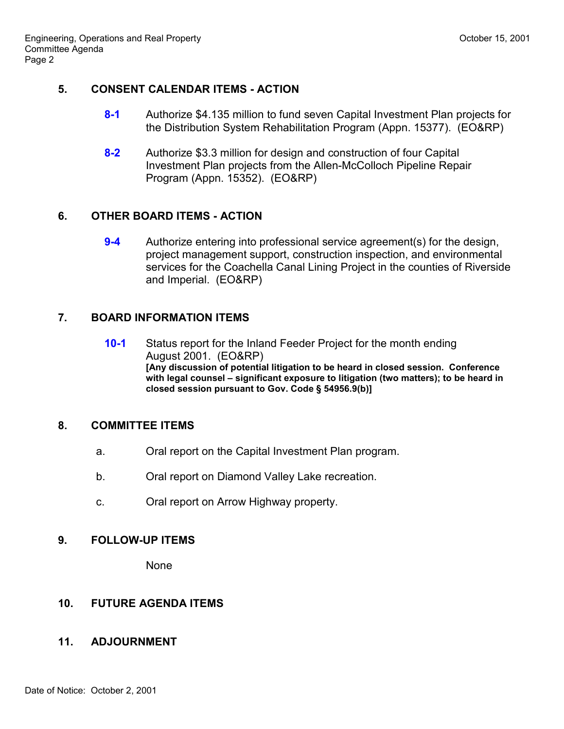#### **5. CONSENT CALENDAR ITEMS - ACTION**

- **8-1** Authorize \$4.135 million to fund seven Capital Investment Plan projects for the Distribution System Rehabilitation Program (Appn. 15377). (EO&RP)
- **8-2** Authorize \$3.3 million for design and construction of four Capital Investment Plan projects from the Allen-McColloch Pipeline Repair Program (Appn. 15352). (EO&RP)

# **6. OTHER BOARD ITEMS - ACTION**

**9-4** Authorize entering into professional service agreement(s) for the design, project management support, construction inspection, and environmental services for the Coachella Canal Lining Project in the counties of Riverside and Imperial. (EO&RP)

# **7. BOARD INFORMATION ITEMS**

**10-1** Status report for the Inland Feeder Project for the month ending August 2001. (EO&RP) **[Any discussion of potential litigation to be heard in closed session. Conference** with legal counsel – significant exposure to litigation (two matters); to be heard in **closed session pursuant to Gov. Code ß 54956.9(b)]**

## **8. COMMITTEE ITEMS**

- a. Oral report on the Capital Investment Plan program.
- b. Oral report on Diamond Valley Lake recreation.
- c. Oral report on Arrow Highway property.

## **9. FOLLOW-UP ITEMS**

None

# **10. FUTURE AGENDA ITEMS**

## **11. ADJOURNMENT**